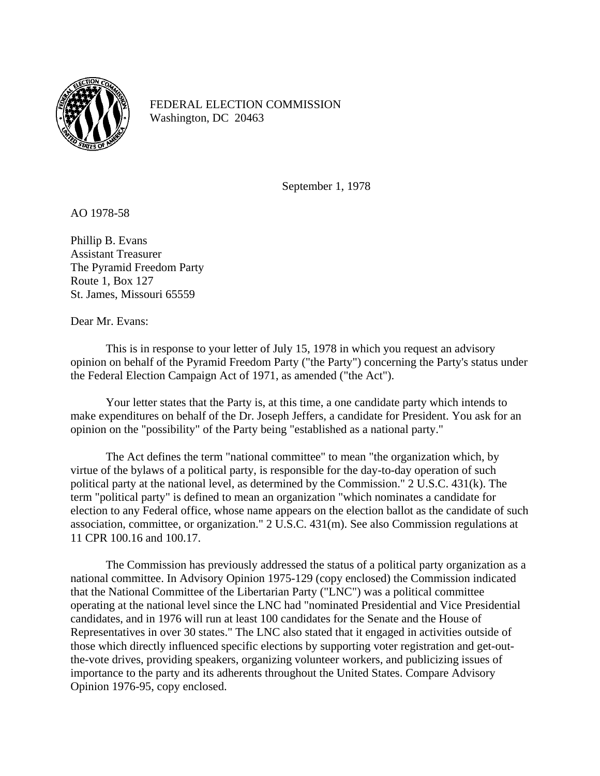

FEDERAL ELECTION COMMISSION Washington, DC 20463

September 1, 1978

AO 1978-58

Phillip B. Evans Assistant Treasurer The Pyramid Freedom Party Route 1, Box 127 St. James, Missouri 65559

Dear Mr. Evans:

 This is in response to your letter of July 15, 1978 in which you request an advisory opinion on behalf of the Pyramid Freedom Party ("the Party") concerning the Party's status under the Federal Election Campaign Act of 1971, as amended ("the Act").

 Your letter states that the Party is, at this time, a one candidate party which intends to make expenditures on behalf of the Dr. Joseph Jeffers, a candidate for President. You ask for an opinion on the "possibility" of the Party being "established as a national party."

 The Act defines the term "national committee" to mean "the organization which, by virtue of the bylaws of a political party, is responsible for the day-to-day operation of such political party at the national level, as determined by the Commission." 2 U.S.C. 431(k). The term "political party" is defined to mean an organization "which nominates a candidate for election to any Federal office, whose name appears on the election ballot as the candidate of such association, committee, or organization." 2 U.S.C. 431(m). See also Commission regulations at 11 CPR 100.16 and 100.17.

 The Commission has previously addressed the status of a political party organization as a national committee. In Advisory Opinion 1975-129 (copy enclosed) the Commission indicated that the National Committee of the Libertarian Party ("LNC") was a political committee operating at the national level since the LNC had "nominated Presidential and Vice Presidential candidates, and in 1976 will run at least 100 candidates for the Senate and the House of Representatives in over 30 states." The LNC also stated that it engaged in activities outside of those which directly influenced specific elections by supporting voter registration and get-outthe-vote drives, providing speakers, organizing volunteer workers, and publicizing issues of importance to the party and its adherents throughout the United States. Compare Advisory Opinion 1976-95, copy enclosed.